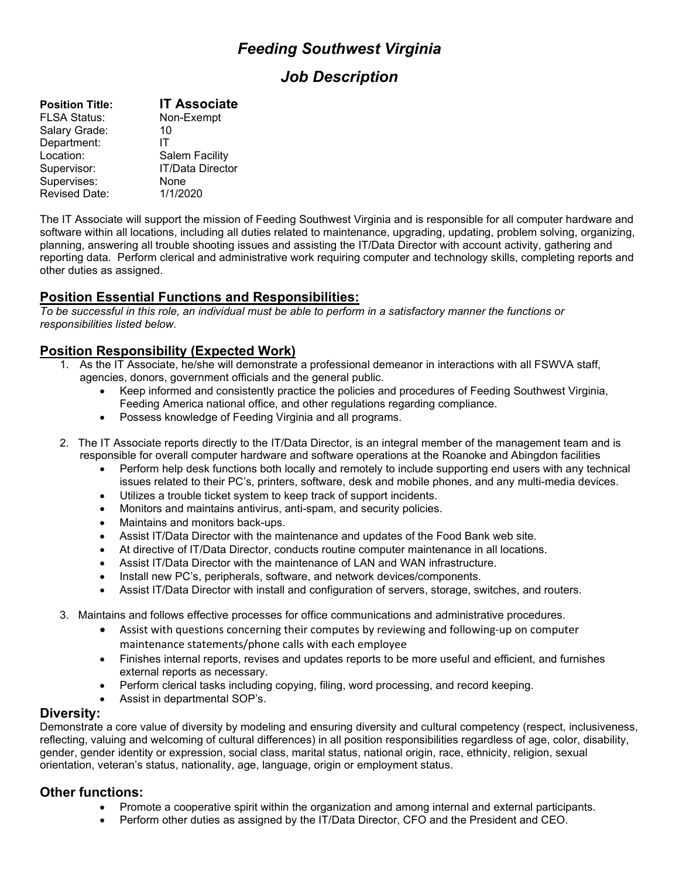# *Feeding Southwest Virginia*

## *Job Description*

| <b>Position Title:</b> | <b>IT Associate</b>     |
|------------------------|-------------------------|
| <b>FLSA Status:</b>    | Non-Exempt              |
| Salary Grade:          | 10                      |
| Department:            | IΤ                      |
| Location:              | <b>Salem Facility</b>   |
| Supervisor:            | <b>IT/Data Director</b> |
| Supervises:            | None                    |
| <b>Revised Date:</b>   | 1/1/2020                |

The IT Associate will support the mission of Feeding Southwest Virginia and is responsible for all computer hardware and software within all locations, including all duties related to maintenance, upgrading, updating, problem solving, organizing, planning, answering all trouble shooting issues and assisting the IT/Data Director with account activity, gathering and reporting data. Perform clerical and administrative work requiring computer and technology skills, completing reports and other duties as assigned.

## **Position Essential Functions and Responsibilities:**

*To be successful in this role, an individual must be able to perform in a satisfactory manner the functions or responsibilities listed below.*

## **Position Responsibility (Expected Work)**

- 1. As the IT Associate, he/she will demonstrate a professional demeanor in interactions with all FSWVA staff, agencies, donors, government officials and the general public.
	- Keep informed and consistently practice the policies and procedures of Feeding Southwest Virginia, Feeding America national office, and other regulations regarding compliance.
	- Possess knowledge of Feeding Virginia and all programs.
- 2. The IT Associate reports directly to the IT/Data Director, is an integral member of the management team and is responsible for overall computer hardware and software operations at the Roanoke and Abingdon facilities
	- Perform help desk functions both locally and remotely to include supporting end users with any technical issues related to their PC's, printers, software, desk and mobile phones, and any multi-media devices.
	- Utilizes a trouble ticket system to keep track of support incidents.
	- Monitors and maintains antivirus, anti-spam, and security policies.
	- Maintains and monitors back-ups.
	- Assist IT/Data Director with the maintenance and updates of the Food Bank web site.
	- At directive of IT/Data Director, conducts routine computer maintenance in all locations.
	- Assist IT/Data Director with the maintenance of LAN and WAN infrastructure.
	- Install new PC's, peripherals, software, and network devices/components.
	- Assist IT/Data Director with install and configuration of servers, storage, switches, and routers.
- 3. Maintains and follows effective processes for office communications and administrative procedures.
	- Assist with questions concerning their computes by reviewing and following-up on computer maintenance statements/phone calls with each employee
	- Finishes internal reports, revises and updates reports to be more useful and efficient, and furnishes external reports as necessary.
	- Perform clerical tasks including copying, filing, word processing, and record keeping.
	- Assist in departmental SOP's.

#### **Diversity:**

Demonstrate a core value of diversity by modeling and ensuring diversity and cultural competency (respect, inclusiveness, reflecting, valuing and welcoming of cultural differences) in all position responsibilities regardless of age, color, disability, gender, gender identity or expression, social class, marital status, national origin, race, ethnicity, religion, sexual orientation, veteran's status, nationality, age, language, origin or employment status.

## **Other functions:**

- Promote a cooperative spirit within the organization and among internal and external participants.
- Perform other duties as assigned by the IT/Data Director, CFO and the President and CEO.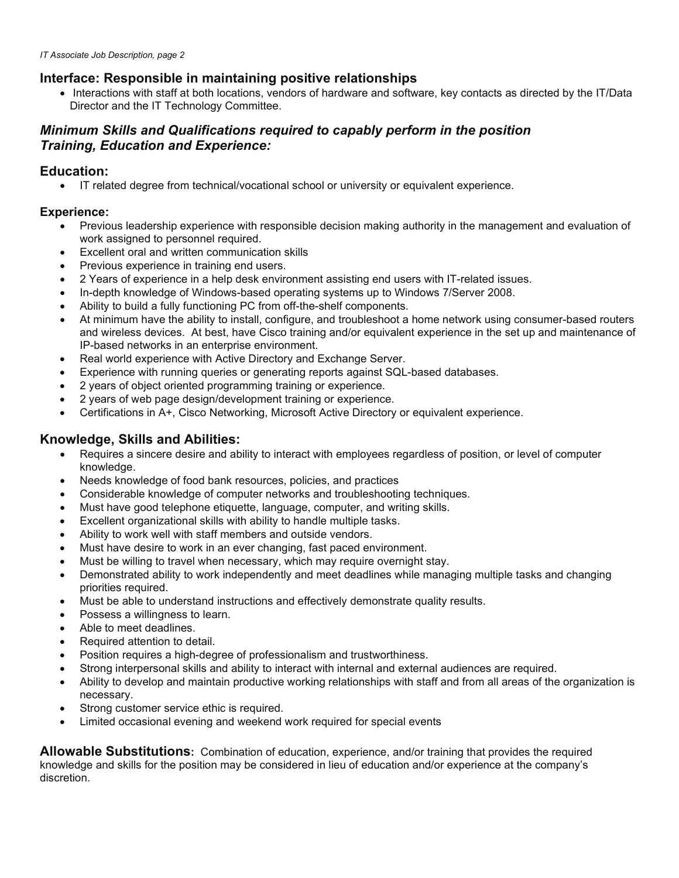## **Interface: Responsible in maintaining positive relationships**

• Interactions with staff at both locations, vendors of hardware and software, key contacts as directed by the IT/Data Director and the IT Technology Committee.

## *Minimum Skills and Qualifications required to capably perform in the position Training, Education and Experience:*

## **Education:**

• IT related degree from technical/vocational school or university or equivalent experience.

#### **Experience:**

- Previous leadership experience with responsible decision making authority in the management and evaluation of work assigned to personnel required.
- Excellent oral and written communication skills
- Previous experience in training end users.
- 2 Years of experience in a help desk environment assisting end users with IT-related issues.
- In-depth knowledge of Windows-based operating systems up to Windows 7/Server 2008.
- Ability to build a fully functioning PC from off-the-shelf components.
- At minimum have the ability to install, configure, and troubleshoot a home network using consumer-based routers and wireless devices. At best, have Cisco training and/or equivalent experience in the set up and maintenance of IP-based networks in an enterprise environment.
- Real world experience with Active Directory and Exchange Server.
- Experience with running queries or generating reports against SQL-based databases.
- 2 years of object oriented programming training or experience.
- 2 years of web page design/development training or experience.
- Certifications in A+, Cisco Networking, Microsoft Active Directory or equivalent experience.

#### **Knowledge, Skills and Abilities:**

- Requires a sincere desire and ability to interact with employees regardless of position, or level of computer knowledge.
- Needs knowledge of food bank resources, policies, and practices
- Considerable knowledge of computer networks and troubleshooting techniques.
- Must have good telephone etiquette, language, computer, and writing skills.
- Excellent organizational skills with ability to handle multiple tasks.
- Ability to work well with staff members and outside vendors.
- Must have desire to work in an ever changing, fast paced environment.
- Must be willing to travel when necessary, which may require overnight stay.
- Demonstrated ability to work independently and meet deadlines while managing multiple tasks and changing priorities required.
- Must be able to understand instructions and effectively demonstrate quality results.
- Possess a willingness to learn.
- Able to meet deadlines.
- Required attention to detail.
- Position requires a high-degree of professionalism and trustworthiness.
- Strong interpersonal skills and ability to interact with internal and external audiences are required.
- Ability to develop and maintain productive working relationships with staff and from all areas of the organization is necessary.
- Strong customer service ethic is required.
- Limited occasional evening and weekend work required for special events

**Allowable Substitutions:** Combination of education, experience, and/or training that provides the required knowledge and skills for the position may be considered in lieu of education and/or experience at the company's discretion.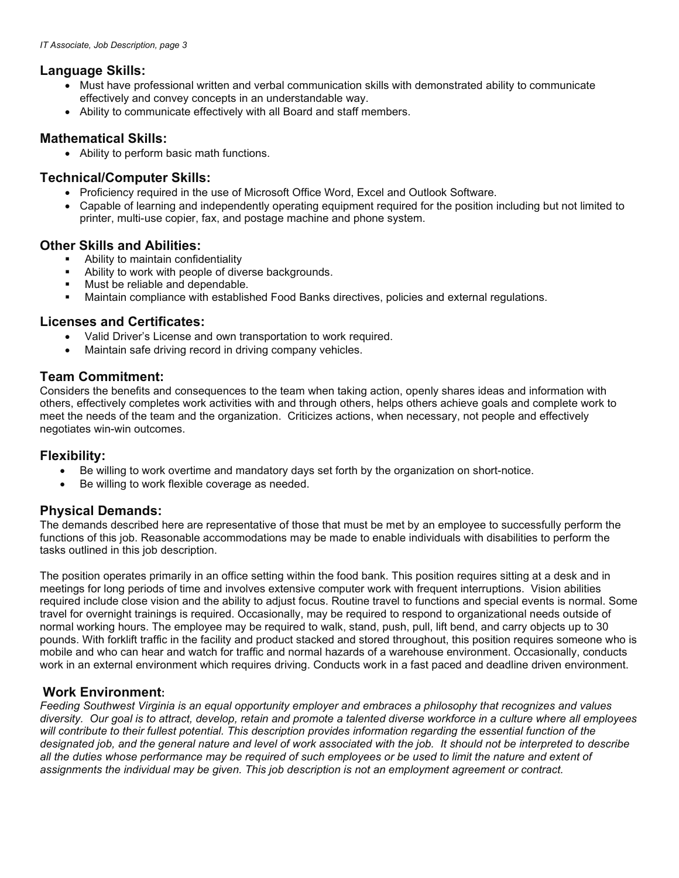#### **Language Skills:**

- Must have professional written and verbal communication skills with demonstrated ability to communicate effectively and convey concepts in an understandable way.
- Ability to communicate effectively with all Board and staff members.

#### **Mathematical Skills:**

• Ability to perform basic math functions.

#### **Technical/Computer Skills:**

- Proficiency required in the use of Microsoft Office Word, Excel and Outlook Software.
- Capable of learning and independently operating equipment required for the position including but not limited to printer, multi-use copier, fax, and postage machine and phone system.

#### **Other Skills and Abilities:**

- Ability to maintain confidentiality
- **Ability to work with people of diverse backgrounds.**
- Must be reliable and dependable.
- Maintain compliance with established Food Banks directives, policies and external regulations.

## **Licenses and Certificates:**

- Valid Driver's License and own transportation to work required.
- Maintain safe driving record in driving company vehicles.

#### **Team Commitment:**

Considers the benefits and consequences to the team when taking action, openly shares ideas and information with others, effectively completes work activities with and through others, helps others achieve goals and complete work to meet the needs of the team and the organization. Criticizes actions, when necessary, not people and effectively negotiates win-win outcomes.

#### **Flexibility:**

- Be willing to work overtime and mandatory days set forth by the organization on short-notice.
- Be willing to work flexible coverage as needed.

## **Physical Demands:**

The demands described here are representative of those that must be met by an employee to successfully perform the functions of this job. Reasonable accommodations may be made to enable individuals with disabilities to perform the tasks outlined in this job description.

The position operates primarily in an office setting within the food bank. This position requires sitting at a desk and in meetings for long periods of time and involves extensive computer work with frequent interruptions. Vision abilities required include close vision and the ability to adjust focus. Routine travel to functions and special events is normal. Some travel for overnight trainings is required. Occasionally, may be required to respond to organizational needs outside of normal working hours. The employee may be required to walk, stand, push, pull, lift bend, and carry objects up to 30 pounds. With forklift traffic in the facility and product stacked and stored throughout, this position requires someone who is mobile and who can hear and watch for traffic and normal hazards of a warehouse environment. Occasionally, conducts work in an external environment which requires driving. Conducts work in a fast paced and deadline driven environment.

#### **Work Environment:**

*Feeding Southwest Virginia is an equal opportunity employer and embraces a philosophy that recognizes and values diversity. Our goal is to attract, develop, retain and promote a talented diverse workforce in a culture where all employees will contribute to their fullest potential. This description provides information regarding the essential function of the*  designated job, and the general nature and level of work associated with the job. It should not be interpreted to describe *all the duties whose performance may be required of such employees or be used to limit the nature and extent of assignments the individual may be given. This job description is not an employment agreement or contract.*